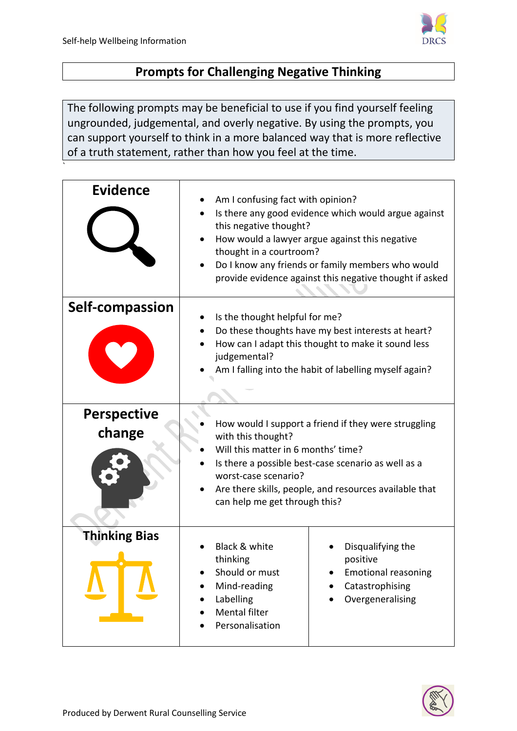`



## **Prompts for Challenging Negative Thinking**

The following prompts may be beneficial to use if you find yourself feeling ungrounded, judgemental, and overly negative. By using the prompts, you can support yourself to think in a more balanced way that is more reflective of a truth statement, rather than how you feel at the time.

| <b>Evidence</b>              | Am I confusing fact with opinion?<br>Is there any good evidence which would argue against<br>this negative thought?<br>How would a lawyer argue against this negative<br>thought in a courtroom?<br>Do I know any friends or family members who would<br>provide evidence against this negative thought if asked |                                                                                                    |
|------------------------------|------------------------------------------------------------------------------------------------------------------------------------------------------------------------------------------------------------------------------------------------------------------------------------------------------------------|----------------------------------------------------------------------------------------------------|
| Self-compassion              | Is the thought helpful for me?<br>Do these thoughts have my best interests at heart?<br>How can I adapt this thought to make it sound less<br>judgemental?<br>Am I falling into the habit of labelling myself again?                                                                                             |                                                                                                    |
| <b>Perspective</b><br>change | How would I support a friend if they were struggling<br>with this thought?<br>Will this matter in 6 months' time?<br>Is there a possible best-case scenario as well as a<br>worst-case scenario?<br>Are there skills, people, and resources available that<br>can help me get through this?                      |                                                                                                    |
| <b>Thinking Bias</b>         | Black & white<br>thinking<br>Should or must<br>Mind-reading<br>Labelling<br><b>Mental filter</b><br>Personalisation                                                                                                                                                                                              | Disqualifying the<br>positive<br><b>Emotional reasoning</b><br>Catastrophising<br>Overgeneralising |